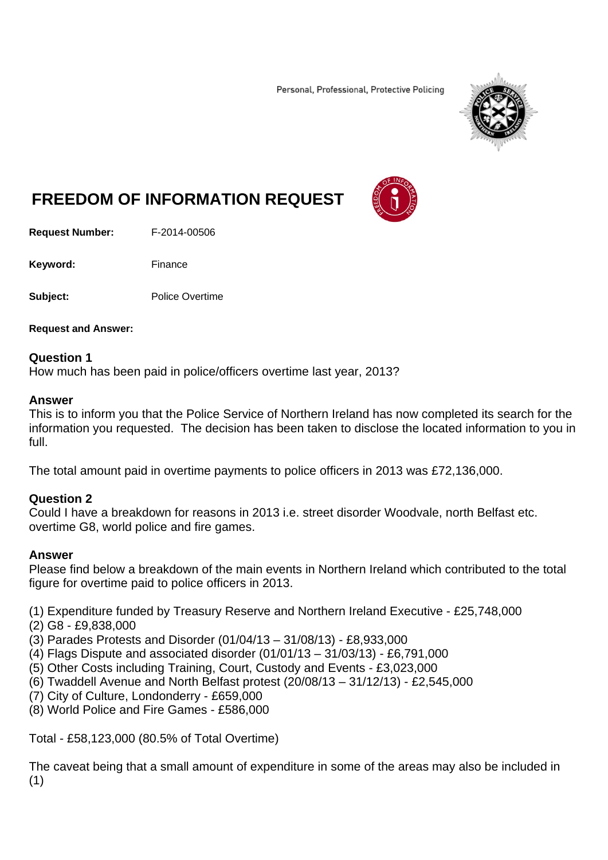Personal, Professional, Protective Policing



# **FREEDOM OF INFORMATION REQUEST**

**Request Number:** F-2014-00506

Keyword: Finance

**Subject:** Police Overtime

**Request and Answer:** 

#### **Question 1**

How much has been paid in police/officers overtime last year, 2013?

#### **Answer**

This is to inform you that the Police Service of Northern Ireland has now completed its search for the information you requested. The decision has been taken to disclose the located information to you in full.

The total amount paid in overtime payments to police officers in 2013 was £72,136,000.

# **Question 2**

Could I have a breakdown for reasons in 2013 i.e. street disorder Woodvale, north Belfast etc. overtime G8, world police and fire games.

#### **Answer**

Please find below a breakdown of the main events in Northern Ireland which contributed to the total figure for overtime paid to police officers in 2013.

(1) Expenditure funded by Treasury Reserve and Northern Ireland Executive - £25,748,000

(2) G8 - £9,838,000

(3) Parades Protests and Disorder (01/04/13 – 31/08/13) - £8,933,000

- (4) Flags Dispute and associated disorder (01/01/13 31/03/13) £6,791,000
- (5) Other Costs including Training, Court, Custody and Events £3,023,000
- (6) Twaddell Avenue and North Belfast protest (20/08/13 31/12/13) £2,545,000
- (7) City of Culture, Londonderry £659,000
- (8) World Police and Fire Games £586,000

Total - £58,123,000 (80.5% of Total Overtime)

The caveat being that a small amount of expenditure in some of the areas may also be included in (1)